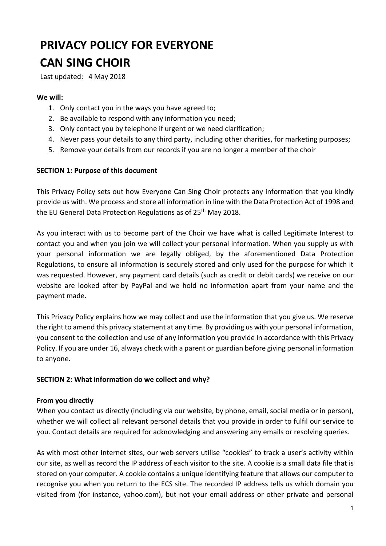# **PRIVACY POLICY FOR EVERYONE CAN SING CHOIR**

Last updated: 4 May 2018

#### **We will:**

- 1. Only contact you in the ways you have agreed to;
- 2. Be available to respond with any information you need;
- 3. Only contact you by telephone if urgent or we need clarification;
- 4. Never pass your details to any third party, including other charities, for marketing purposes;
- 5. Remove your details from our records if you are no longer a member of the choir

#### **SECTION 1: Purpose of this document**

This Privacy Policy sets out how Everyone Can Sing Choir protects any information that you kindly provide us with. We process and store all information in line with the Data Protection Act of 1998 and the EU General Data Protection Regulations as of 25<sup>th</sup> May 2018.

As you interact with us to become part of the Choir we have what is called Legitimate Interest to contact you and when you join we will collect your personal information. When you supply us with your personal information we are legally obliged, by the aforementioned Data Protection Regulations, to ensure all information is securely stored and only used for the purpose for which it was requested. However, any payment card details (such as credit or debit cards) we receive on our website are looked after by PayPal and we hold no information apart from your name and the payment made.

This Privacy Policy explains how we may collect and use the information that you give us. We reserve the right to amend this privacy statement at any time. By providing us with your personal information, you consent to the collection and use of any information you provide in accordance with this Privacy Policy. If you are under 16, always check with a parent or guardian before giving personal information to anyone.

#### **SECTION 2: What information do we collect and why?**

#### **From you directly**

When you contact us directly (including via our website, by phone, email, social media or in person), whether we will collect all relevant personal details that you provide in order to fulfil our service to you. Contact details are required for acknowledging and answering any emails or resolving queries.

As with most other Internet sites, our web servers utilise "cookies" to track a user's activity within our site, as well as record the IP address of each visitor to the site. A cookie is a small data file that is stored on your computer. A cookie contains a unique identifying feature that allows our computer to recognise you when you return to the ECS site. The recorded IP address tells us which domain you visited from (for instance, yahoo.com), but not your email address or other private and personal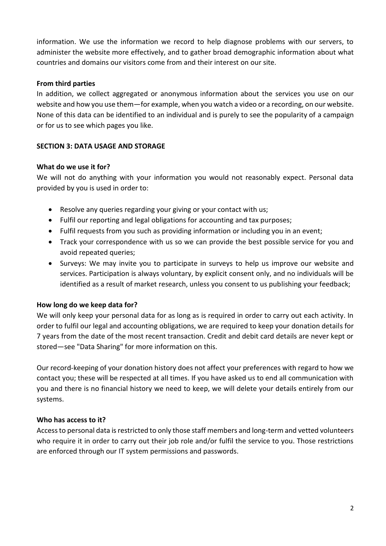information. We use the information we record to help diagnose problems with our servers, to administer the website more effectively, and to gather broad demographic information about what countries and domains our visitors come from and their interest on our site.

## **From third parties**

In addition, we collect aggregated or anonymous information about the services you use on our website and how you use them—for example, when you watch a video or a recording, on our website. None of this data can be identified to an individual and is purely to see the popularity of a campaign or for us to see which pages you like.

# **SECTION 3: DATA USAGE AND STORAGE**

## **What do we use it for?**

We will not do anything with your information you would not reasonably expect. Personal data provided by you is used in order to:

- Resolve any queries regarding your giving or your contact with us;
- Fulfil our reporting and legal obligations for accounting and tax purposes;
- Fulfil requests from you such as providing information or including you in an event;
- Track your correspondence with us so we can provide the best possible service for you and avoid repeated queries;
- Surveys: We may invite you to participate in surveys to help us improve our website and services. Participation is always voluntary, by explicit consent only, and no individuals will be identified as a result of market research, unless you consent to us publishing your feedback;

## **How long do we keep data for?**

We will only keep your personal data for as long as is required in order to carry out each activity. In order to fulfil our legal and accounting obligations, we are required to keep your donation details for 7 years from the date of the most recent transaction. Credit and debit card details are never kept or stored—see "Data Sharing" for more information on this.

Our record-keeping of your donation history does not affect your preferences with regard to how we contact you; these will be respected at all times. If you have asked us to end all communication with you and there is no financial history we need to keep, we will delete your details entirely from our systems.

## **Who has access to it?**

Access to personal data is restricted to only those staff members and long-term and vetted volunteers who require it in order to carry out their job role and/or fulfil the service to you. Those restrictions are enforced through our IT system permissions and passwords.